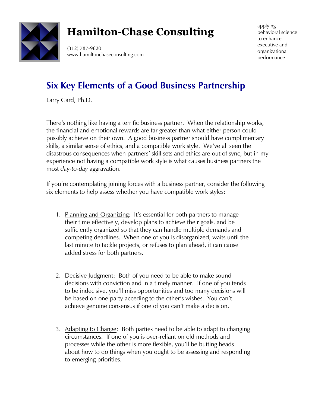

## **Hamilton-Chase Consulting**

(312) 787-9620 www.hamiltonchaseconsulting.com applying behavioral science to enhance executive and organizational performance

## **Six Key Elements of a Good Business Partnership**

Larry Gard, Ph.D.

There's nothing like having a terrific business partner. When the relationship works, the financial and emotional rewards are far greater than what either person could possibly achieve on their own. A good business partner should have complimentary skills, a similar sense of ethics, and a compatible work style. We've all seen the disastrous consequences when partners' skill sets and ethics are out of sync, but in my experience not having a compatible work style is what causes business partners the most *day-to-day* aggravation.

If you're contemplating joining forces with a business partner, consider the following six elements to help assess whether you have compatible work styles:

- 1. Planning and Organizing: It's essential for both partners to manage their time effectively, develop plans to achieve their goals, and be sufficiently organized so that they can handle multiple demands and competing deadlines. When one of you is disorganized, waits until the last minute to tackle projects, or refuses to plan ahead, it can cause added stress for both partners.
- 2. Decisive Judgment: Both of you need to be able to make sound decisions with conviction and in a timely manner. If one of you tends to be indecisive, you'll miss opportunities and too many decisions will be based on one party acceding to the other's wishes. You can't achieve genuine consensus if one of you can't make a decision.
- 3. Adapting to Change: Both parties need to be able to adapt to changing circumstances. If one of you is over-reliant on old methods and processes while the other is more flexible, you'll be butting heads about how to do things when you ought to be assessing and responding to emerging priorities.